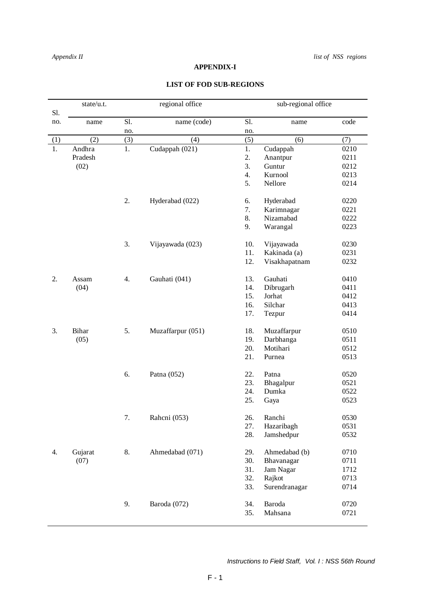## **APPENDIX-I**

## **LIST OF FOD SUB-REGIONS**

| Sl.              | state/u.t. |     | regional office   | sub-regional office |               |      |
|------------------|------------|-----|-------------------|---------------------|---------------|------|
| no.              | name       | Sl. | name (code)       | Sl.                 | name          | code |
|                  |            | no. |                   | no.                 |               |      |
| (1)              | (2)        | (3) | (4)               | (5)                 | (6)           | (7)  |
| $\overline{1}$ . | Andhra     | 1.  | Cudappah (021)    | 1.                  | Cudappah      | 0210 |
|                  | Pradesh    |     |                   | 2.                  | Anantpur      | 0211 |
|                  | (02)       |     |                   | 3.                  | Guntur        | 0212 |
|                  |            |     |                   | 4.                  | Kurnool       | 0213 |
|                  |            |     |                   | 5.                  | Nellore       | 0214 |
|                  |            | 2.  | Hyderabad (022)   | 6.                  | Hyderabad     | 0220 |
|                  |            |     |                   | 7.                  | Karimnagar    | 0221 |
|                  |            |     |                   | 8.                  | Nizamabad     | 0222 |
|                  |            |     |                   | 9.                  | Warangal      | 0223 |
|                  |            | 3.  | Vijayawada (023)  | 10.                 | Vijayawada    | 0230 |
|                  |            |     |                   | 11.                 | Kakinada (a)  | 0231 |
|                  |            |     |                   | 12.                 | Visakhapatnam | 0232 |
| 2.               | Assam      | 4.  | Gauhati (041)     | 13.                 | Gauhati       | 0410 |
|                  | (04)       |     |                   | 14.                 | Dibrugarh     | 0411 |
|                  |            |     |                   | 15.                 | Jorhat        | 0412 |
|                  |            |     |                   | 16.                 | Silchar       | 0413 |
|                  |            |     |                   | 17.                 | Tezpur        | 0414 |
| 3.               | Bihar      | 5.  | Muzaffarpur (051) | 18.                 | Muzaffarpur   | 0510 |
|                  | (05)       |     |                   | 19.                 | Darbhanga     | 0511 |
|                  |            |     |                   | 20.                 | Motihari      | 0512 |
|                  |            |     |                   | 21.                 | Purnea        | 0513 |
|                  |            | 6.  | Patna (052)       | 22.                 | Patna         | 0520 |
|                  |            |     |                   | 23.                 | Bhagalpur     | 0521 |
|                  |            |     |                   | 24.                 | Dumka         | 0522 |
|                  |            |     |                   | 25.                 | Gaya          | 0523 |
|                  |            | 7.  | Rahcni (053)      | 26.                 | Ranchi        | 0530 |
|                  |            |     |                   | 27.                 | Hazaribagh    | 0531 |
|                  |            |     |                   | 28.                 | Jamshedpur    | 0532 |
| 4.               | Gujarat    | 8.  | Ahmedabad (071)   | 29.                 | Ahmedabad (b) | 0710 |
|                  | (07)       |     |                   | 30.                 | Bhavanagar    | 0711 |
|                  |            |     |                   | 31.                 | Jam Nagar     | 1712 |
|                  |            |     |                   | 32.                 | Rajkot        | 0713 |
|                  |            |     |                   | 33.                 | Surendranagar | 0714 |
|                  |            | 9.  | Baroda (072)      | 34.                 | Baroda        | 0720 |
|                  |            |     |                   | 35.                 | Mahsana       | 0721 |
|                  |            |     |                   |                     |               |      |

 *Instructions to Field Staff, Vol. I : NSS 56th Round*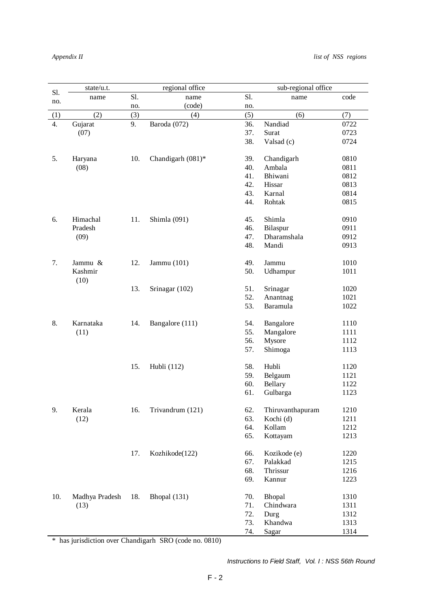| Sl. | state/u.t.     |     | regional office   | sub-regional office |                  |      |
|-----|----------------|-----|-------------------|---------------------|------------------|------|
|     | name           | Sl. | name              | Sl.                 | name             | code |
| no. |                | no. | (code)            | no.                 |                  |      |
| (1) | (2)            | (3) | (4)               | (5)                 | (6)              | (7)  |
| 4.  | Gujarat        | 9.  | Baroda (072)      | 36.                 | Nandiad          | 0722 |
|     | (07)           |     |                   | 37.                 | Surat            | 0723 |
|     |                |     |                   | 38.                 | Valsad (c)       | 0724 |
|     |                |     |                   |                     |                  |      |
| 5.  | Haryana        | 10. | Chandigarh (081)* | 39.                 | Chandigarh       | 0810 |
|     | (08)           |     |                   | 40.                 | Ambala           | 0811 |
|     |                |     |                   | 41.                 | Bhiwani          | 0812 |
|     |                |     |                   | 42.                 | Hissar           | 0813 |
|     |                |     |                   | 43.                 | Karnal           | 0814 |
|     |                |     |                   | 44.                 | Rohtak           | 0815 |
|     |                |     |                   |                     |                  |      |
| 6.  | Himachal       | 11. | Shimla (091)      | 45.                 | Shimla           | 0910 |
|     | Pradesh        |     |                   | 46.                 | Bilaspur         | 0911 |
|     | (09)           |     |                   | 47.                 | Dharamshala      | 0912 |
|     |                |     |                   | 48.                 | Mandi            | 0913 |
|     |                |     |                   |                     |                  |      |
| 7.  | Jammu &        | 12. | Jammu (101)       | 49.                 | Jammu            | 1010 |
|     | Kashmir        |     |                   | 50.                 | Udhampur         | 1011 |
|     | (10)           |     |                   |                     |                  |      |
|     |                | 13. | Srinagar (102)    | 51.                 | Srinagar         | 1020 |
|     |                |     |                   | 52.                 | Anantnag         | 1021 |
|     |                |     |                   | 53.                 | Baramula         | 1022 |
|     |                |     |                   |                     |                  |      |
| 8.  | Karnataka      | 14. | Bangalore (111)   | 54.                 | Bangalore        | 1110 |
|     | (11)           |     |                   | 55.                 | Mangalore        | 1111 |
|     |                |     |                   | 56.                 | Mysore           | 1112 |
|     |                |     |                   | 57.                 | Shimoga          | 1113 |
|     |                |     |                   |                     |                  |      |
|     |                | 15. | Hubli (112)       | 58.                 | Hubli            | 1120 |
|     |                |     |                   | 59.                 | Belgaum          | 1121 |
|     |                |     |                   | 60.                 | Bellary          | 1122 |
|     |                |     |                   | 61.                 | Gulbarga         | 1123 |
|     |                |     |                   |                     |                  |      |
| 9.  | Kerala         | 16. | Trivandrum (121)  | 62.                 | Thiruvanthapuram | 1210 |
|     | (12)           |     |                   | 63.                 | Kochi (d)        | 1211 |
|     |                |     |                   | 64.                 | Kollam           | 1212 |
|     |                |     |                   | 65.                 | Kottayam         | 1213 |
|     |                |     |                   |                     |                  |      |
|     |                | 17. | Kozhikode(122)    | 66.                 | Kozikode (e)     | 1220 |
|     |                |     |                   | 67.                 | Palakkad         | 1215 |
|     |                |     |                   | 68.                 | Thrissur         | 1216 |
|     |                |     |                   | 69.                 | Kannur           | 1223 |
|     |                |     |                   |                     |                  |      |
| 10. | Madhya Pradesh | 18. | Bhopal (131)      | 70.                 | Bhopal           | 1310 |
|     | (13)           |     |                   | 71.                 | Chindwara        | 1311 |
|     |                |     |                   | 72.                 | Durg             | 1312 |
|     |                |     |                   | 73.                 | Khandwa          | 1313 |
|     |                |     |                   | 74.                 | Sagar            | 1314 |
|     |                |     |                   |                     |                  |      |

\* has jurisdiction over Chandigarh SRO (code no. 0810)

 *Instructions to Field Staff, Vol. I : NSS 56th Round*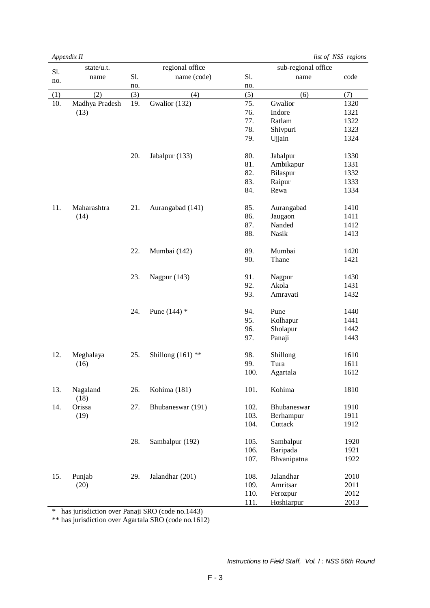*Appendix II list of NSS regions*

| Sl. | state/u.t.     |     | regional office     |      | sub-regional office |      |
|-----|----------------|-----|---------------------|------|---------------------|------|
| no. | name           | Sl. | name (code)         | Sl.  | name                | code |
|     |                | no. |                     | no.  |                     |      |
| (1) | (2)            | (3) | (4)                 | (5)  | (6)                 | (7)  |
| 10. | Madhya Pradesh | 19. | Gwalior (132)       | 75.  | Gwalior             | 1320 |
|     | (13)           |     |                     | 76.  | Indore              | 1321 |
|     |                |     |                     | 77.  | Ratlam              | 1322 |
|     |                |     |                     | 78.  | Shivpuri            | 1323 |
|     |                |     |                     | 79.  | Ujjain              | 1324 |
|     |                |     |                     |      |                     |      |
|     |                | 20. | Jabalpur (133)      | 80.  | Jabalpur            | 1330 |
|     |                |     |                     | 81.  | Ambikapur           | 1331 |
|     |                |     |                     | 82.  | Bilaspur            | 1332 |
|     |                |     |                     | 83.  | Raipur              | 1333 |
|     |                |     |                     | 84.  | Rewa                | 1334 |
|     |                |     |                     |      |                     |      |
| 11. | Maharashtra    | 21. | Aurangabad (141)    | 85.  | Aurangabad          | 1410 |
|     | (14)           |     |                     | 86.  | Jaugaon             | 1411 |
|     |                |     |                     | 87.  | Nanded              | 1412 |
|     |                |     |                     | 88.  | Nasik               | 1413 |
|     |                |     |                     |      |                     |      |
|     |                | 22. | Mumbai (142)        | 89.  | Mumbai              | 1420 |
|     |                |     |                     | 90.  | Thane               | 1421 |
|     |                | 23. |                     | 91.  |                     | 1430 |
|     |                |     | Nagpur (143)        | 92.  | Nagpur<br>Akola     | 1431 |
|     |                |     |                     | 93.  | Amravati            | 1432 |
|     |                |     |                     |      |                     |      |
|     |                | 24. | Pune $(144)$ *      | 94.  | Pune                | 1440 |
|     |                |     |                     | 95.  | Kolhapur            | 1441 |
|     |                |     |                     | 96.  | Sholapur            | 1442 |
|     |                |     |                     | 97.  | Panaji              | 1443 |
|     |                |     |                     |      |                     |      |
| 12. | Meghalaya      | 25. | Shillong $(161)$ ** | 98.  | Shillong            | 1610 |
|     | (16)           |     |                     | 99.  | Tura                | 1611 |
|     |                |     |                     | 100. | Agartala            | 1612 |
|     |                |     |                     |      |                     |      |
| 13. | Nagaland       | 26. | Kohima (181)        | 101. | Kohima              | 1810 |
|     | (18)           |     |                     |      |                     |      |
| 14. | Orissa         | 27. | Bhubaneswar (191)   | 102. | Bhubaneswar         | 1910 |
|     | (19)           |     |                     | 103. | Berhampur           | 1911 |
|     |                |     |                     | 104. | Cuttack             | 1912 |
|     |                | 28. | Sambalpur (192)     | 105. |                     |      |
|     |                |     |                     |      | Sambalpur           | 1920 |
|     |                |     |                     | 106. | Baripada            | 1921 |
|     |                |     |                     | 107. | Bhvanipatna         | 1922 |
| 15. | Punjab         | 29. | Jalandhar (201)     | 108. | Jalandhar           | 2010 |
|     | (20)           |     |                     | 109. | Amritsar            | 2011 |
|     |                |     |                     | 110. | Ferozpur            | 2012 |
|     |                |     |                     | 111. | Hoshiarpur          | 2013 |

\* has jurisdiction over Panaji SRO (code no.1443)

\*\* has jurisdiction over Agartala SRO (code no.1612)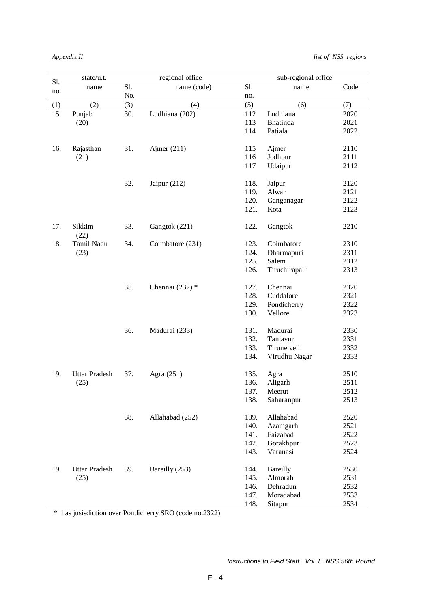| Sl. | state/u.t.           |     | regional office   |      | sub-regional office        |      |
|-----|----------------------|-----|-------------------|------|----------------------------|------|
| no. | name                 | Sl. | name (code)       | Sl.  | name                       | Code |
|     |                      | No. |                   | no.  |                            |      |
| (1) | (2)                  | (3) | (4)               | (5)  | (6)                        | (7)  |
| 15. | Punjab               | 30. | Ludhiana (202)    | 112  | Ludhiana                   | 2020 |
|     | (20)                 |     |                   | 113  | Bhatinda                   | 2021 |
|     |                      |     |                   | 114  | Patiala                    | 2022 |
|     |                      |     |                   |      |                            |      |
| 16. | Rajasthan            | 31. | Ajmer $(211)$     | 115  | Ajmer                      | 2110 |
|     | (21)                 |     |                   | 116  | Jodhpur                    | 2111 |
|     |                      |     |                   | 117  | Udaipur                    | 2112 |
|     |                      |     |                   |      |                            |      |
|     |                      | 32. | Jaipur $(212)$    | 118. | Jaipur                     | 2120 |
|     |                      |     |                   | 119. | Alwar                      | 2121 |
|     |                      |     |                   | 120. | Ganganagar                 | 2122 |
|     |                      |     |                   | 121. | Kota                       | 2123 |
|     |                      |     |                   |      |                            |      |
| 17. | Sikkim               | 33. | Gangtok (221)     | 122. | Gangtok                    | 2210 |
|     | (22)                 |     |                   |      |                            |      |
| 18. | Tamil Nadu           | 34. | Coimbatore (231)  | 123. | Coimbatore                 | 2310 |
|     | (23)                 |     |                   | 124. | Dharmapuri                 | 2311 |
|     |                      |     |                   | 125. | Salem                      | 2312 |
|     |                      |     |                   | 126. | Tiruchirapalli             | 2313 |
|     |                      |     |                   |      |                            |      |
|     |                      | 35. | Chennai $(232)$ * | 127. | Chennai                    | 2320 |
|     |                      |     |                   | 128. | Cuddalore                  | 2321 |
|     |                      |     |                   | 129. | Pondicherry                | 2322 |
|     |                      |     |                   | 130. | Vellore                    | 2323 |
|     |                      |     |                   |      |                            |      |
|     |                      | 36. | Madurai (233)     | 131. | Madurai                    | 2330 |
|     |                      |     |                   | 132. | Tanjavur                   | 2331 |
|     |                      |     |                   | 133. | Tirunelveli                | 2332 |
|     |                      |     |                   | 134. | Virudhu Nagar              | 2333 |
|     |                      |     |                   |      |                            |      |
| 19. | <b>Uttar Pradesh</b> | 37. | Agra (251)        | 135. | Agra                       | 2510 |
|     | (25)                 |     |                   | 136. | Aligarh                    | 2511 |
|     |                      |     |                   | 137. | Meerut                     | 2512 |
|     |                      |     |                   | 138. | Saharanpur                 | 2513 |
|     |                      |     |                   |      |                            |      |
|     |                      | 38. | Allahabad (252)   | 139. | Allahabad                  | 2520 |
|     |                      |     |                   | 140. | Azamgarh                   | 2521 |
|     |                      |     |                   | 141. | Faizabad                   | 2522 |
|     |                      |     |                   | 142. | Gorakhpur<br>Varanasi      | 2523 |
|     |                      |     |                   | 143. |                            | 2524 |
| 19. | <b>Uttar Pradesh</b> | 39. | Bareilly (253)    | 144. |                            | 2530 |
|     |                      |     |                   | 145. | <b>Bareilly</b><br>Almorah | 2531 |
|     | (25)                 |     |                   | 146. | Dehradun                   | 2532 |
|     |                      |     |                   | 147. | Moradabad                  | 2533 |
|     |                      |     |                   | 148. |                            |      |
|     |                      |     |                   |      | Sitapur                    | 2534 |

\* has jusisdiction over Pondicherry SRO (code no.2322)